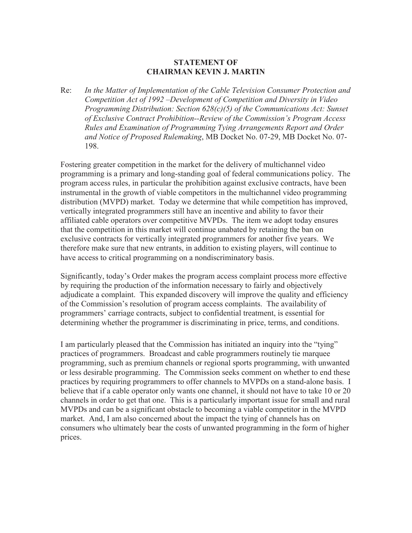## **STATEMENT OF CHAIRMAN KEVIN J. MARTIN**

Re: *In the Matter of Implementation of the Cable Television Consumer Protection and Competition Act of 1992 –Development of Competition and Diversity in Video Programming Distribution: Section 628(c)(5) of the Communications Act: Sunset of Exclusive Contract Prohibition--Review of the Commission's Program Access Rules and Examination of Programming Tying Arrangements Report and Order and Notice of Proposed Rulemaking*, MB Docket No. 07-29, MB Docket No. 07- 198.

Fostering greater competition in the market for the delivery of multichannel video programming is a primary and long-standing goal of federal communications policy. The program access rules, in particular the prohibition against exclusive contracts, have been instrumental in the growth of viable competitors in the multichannel video programming distribution (MVPD) market. Today we determine that while competition has improved, vertically integrated programmers still have an incentive and ability to favor their affiliated cable operators over competitive MVPDs. The item we adopt today ensures that the competition in this market will continue unabated by retaining the ban on exclusive contracts for vertically integrated programmers for another five years. We therefore make sure that new entrants, in addition to existing players, will continue to have access to critical programming on a nondiscriminatory basis.

Significantly, today's Order makes the program access complaint process more effective by requiring the production of the information necessary to fairly and objectively adjudicate a complaint. This expanded discovery will improve the quality and efficiency of the Commission's resolution of program access complaints. The availability of programmers' carriage contracts, subject to confidential treatment, is essential for determining whether the programmer is discriminating in price, terms, and conditions.

I am particularly pleased that the Commission has initiated an inquiry into the "tying" practices of programmers. Broadcast and cable programmers routinely tie marquee programming, such as premium channels or regional sports programming, with unwanted or less desirable programming. The Commission seeks comment on whether to end these practices by requiring programmers to offer channels to MVPDs on a stand-alone basis. I believe that if a cable operator only wants one channel, it should not have to take 10 or 20 channels in order to get that one. This is a particularly important issue for small and rural MVPDs and can be a significant obstacle to becoming a viable competitor in the MVPD market. And, I am also concerned about the impact the tying of channels has on consumers who ultimately bear the costs of unwanted programming in the form of higher prices.